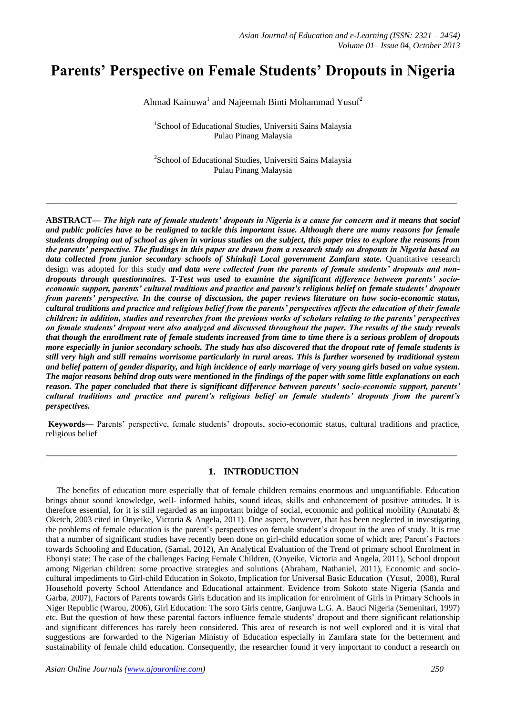# **Parents' Perspective on Female Students' Dropouts in Nigeria**

Ahmad Kainuwa<sup>1</sup> and Najeemah Binti Mohammad Yusuf<sup>2</sup>

<sup>1</sup>School of Educational Studies, Universiti Sains Malaysia Pulau Pinang Malaysia

<sup>2</sup>School of Educational Studies, Universiti Sains Malaysia Pulau Pinang Malaysia

**\_\_\_\_\_\_\_\_\_\_\_\_\_\_\_\_\_\_\_\_\_\_\_\_\_\_\_\_\_\_\_\_\_\_\_\_\_\_\_\_\_\_\_\_\_\_\_\_\_\_\_\_\_\_\_\_\_\_\_\_\_\_\_\_\_\_\_\_\_\_\_\_\_\_\_\_\_\_\_\_\_\_\_\_\_\_\_\_**

**ABSTRACT—** *The high rate of female students' dropouts in Nigeria is a cause for concern and it means that social and public policies have to be realigned to tackle this important issue. Although there are many reasons for female students dropping out of school as given in various studies on the subject, this paper tries to explore the reasons from the parents' perspective. The findings in this paper are drawn from a research study on dropouts in Nigeria based on data collected from junior secondary schools of Shinkafi Local government Zamfara state.* Quantitative research design was adopted for this study *and data were collected from the parents of female students' dropouts and nondropouts through questionnaires. T-Test was used to examine the significant difference between parents' socioeconomic support, parents' cultural traditions and practice and parent's religious belief on female students' dropouts from parents' perspective. In the course of discussion, the paper reviews literature on how socio-economic status, cultural traditions and practice and religious belief from the parents' perspectives affects the education of their female children; in addition, studies and researches from the previous works of scholars relating to the parents' perspectives on female students' dropout were also analyzed and discussed throughout the paper. The results of the study reveals that though the enrollment rate of female students increased from time to time there is a serious problem of dropouts more especially in junior secondary schools. The study has also discovered that the dropout rate of female students is still very high and still remains worrisome particularly in rural areas. This is further worsened by traditional system and belief pattern of gender disparity, and high incidence of early marriage of very young girls based on value system. The major reasons behind drop outs were mentioned in the findings of the paper with some little explanations on each reason. The paper concluded that there is significant difference between parents' socio-economic support, parents' cultural traditions and practice and parent's religious belief on female students' dropouts from the parent's perspectives.*

**Keywords—** Parents' perspective, female students' dropouts, socio-economic status, cultural traditions and practice, religious belief

**\_\_\_\_\_\_\_\_\_\_\_\_\_\_\_\_\_\_\_\_\_\_\_\_\_\_\_\_\_\_\_\_\_\_\_\_\_\_\_\_\_\_\_\_\_\_\_\_\_\_\_\_\_\_\_\_\_\_\_\_\_\_\_\_\_\_\_\_\_\_\_\_\_\_\_\_\_\_\_\_\_\_\_\_\_\_\_\_**

### **1. INTRODUCTION**

 The benefits of education more especially that of female children remains enormous and unquantifiable. Education brings about sound knowledge, well- informed habits, sound ideas, skills and enhancement of positive attitudes. It is therefore essential, for it is still regarded as an important bridge of social, economic and political mobility (Amutabi & Oketch, 2003 cited in Onyeike, Victoria & Angela, 2011). One aspect, however, that has been neglected in investigating the problems of female education is the parent's perspectives on female student's dropout in the area of study. It is true that a number of significant studies have recently been done on girl-child education some of which are; Parent's Factors towards Schooling and Education, (Samal, 2012), An Analytical Evaluation of the Trend of primary school Enrolment in Ebonyi state: The case of the challenges Facing Female Children, (Onyeike, Victoria and Angela, 2011), School dropout among Nigerian children: some proactive strategies and solutions (Abraham, Nathaniel, 2011), Economic and sociocultural impediments to Girl-child Education in Sokoto, Implication for Universal Basic Education (Yusuf, 2008), Rural Household poverty School Attendance and Educational attainment. Evidence from Sokoto state Nigeria (Sanda and Garba, 2007), Factors of Parents towards Girls Education and its implication for enrolment of Girls in Primary Schools in Niger Republic (Warou, 2006), Girl Education: The soro Girls centre, Ganjuwa L.G. A. Bauci Nigeria (Semenitari, 1997) etc. But the question of how these parental factors influence female students' dropout and there significant relationship and significant differences has rarely been considered. This area of research is not well explored and it is vital that suggestions are forwarded to the Nigerian Ministry of Education especially in Zamfara state for the betterment and sustainability of female child education. Consequently, the researcher found it very important to conduct a research on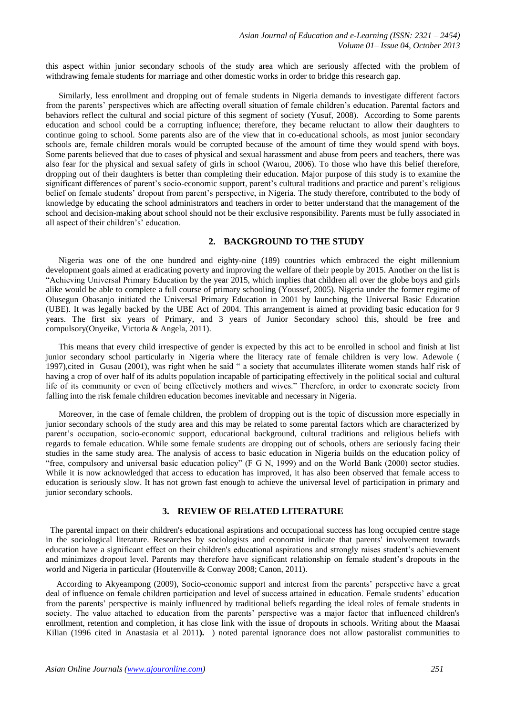this aspect within junior secondary schools of the study area which are seriously affected with the problem of withdrawing female students for marriage and other domestic works in order to bridge this research gap.

 Similarly, less enrollment and dropping out of female students in Nigeria demands to investigate different factors from the parents' perspectives which are affecting overall situation of female children's education. Parental factors and behaviors reflect the cultural and social picture of this segment of society (Yusuf, 2008). According to Some parents education and school could be a corrupting influence; therefore, they became reluctant to allow their daughters to continue going to school. Some parents also are of the view that in co-educational schools, as most junior secondary schools are, female children morals would be corrupted because of the amount of time they would spend with boys. Some parents believed that due to cases of physical and sexual harassment and abuse from peers and teachers, there was also fear for the physical and sexual safety of girls in school (Warou, 2006). To those who have this belief therefore, dropping out of their daughters is better than completing their education. Major purpose of this study is to examine the significant differences of parent's socio-economic support, parent's cultural traditions and practice and parent's religious belief on female students' dropout from parent's perspective, in Nigeria. The study therefore, contributed to the body of knowledge by educating the school administrators and teachers in order to better understand that the management of the school and decision-making about school should not be their exclusive responsibility. Parents must be fully associated in all aspect of their children's' education.

#### **2. BACKGROUND TO THE STUDY**

 Nigeria was one of the one hundred and eighty-nine (189) countries which embraced the eight millennium development goals aimed at eradicating poverty and improving the welfare of their people by 2015. Another on the list is "Achieving Universal Primary Education by the year 2015, which implies that children all over the globe boys and girls alike would be able to complete a full course of primary schooling (Youssef, 2005). Nigeria under the former regime of Olusegun Obasanjo initiated the Universal Primary Education in 2001 by launching the Universal Basic Education (UBE). It was legally backed by the UBE Act of 2004. This arrangement is aimed at providing basic education for 9 years. The first six years of Primary, and 3 years of Junior Secondary school this, should be free and compulsory(Onyeike, Victoria & Angela, 2011).

 This means that every child irrespective of gender is expected by this act to be enrolled in school and finish at list junior secondary school particularly in Nigeria where the literacy rate of female children is very low. Adewole ( 1997),cited in Gusau (2001), was right when he said " a society that accumulates illiterate women stands half risk of having a crop of over half of its adults population incapable of participating effectively in the political social and cultural life of its community or even of being effectively mothers and wives." Therefore, in order to exonerate society from falling into the risk female children education becomes inevitable and necessary in Nigeria.

 Moreover, in the case of female children, the problem of dropping out is the topic of discussion more especially in junior secondary schools of the study area and this may be related to some parental factors which are characterized by parent's occupation, socio-economic support, educational background, cultural traditions and religious beliefs with regards to female education. While some female students are dropping out of schools, others are seriously facing their studies in the same study area. The analysis of access to basic education in Nigeria builds on the education policy of "free, compulsory and universal basic education policy" (F G N, 1999) and on the World Bank (2000) sector studies. While it is now acknowledged that access to education has improved, it has also been observed that female access to education is seriously slow. It has not grown fast enough to achieve the universal level of participation in primary and junior secondary schools.

#### **3. REVIEW OF RELATED LITERATURE**

 The parental impact on their children's educational aspirations and occupational success has long occupied centre stage in the sociological literature. Researches by sociologists and economist indicate that parents' involvement towards education have a significant effect on their children's educational aspirations and strongly raises student's achievement and minimizes dropout level. Parents may therefore have significant relationship on female student's dropouts in the world and Nigeria in particular [\(Houtenville](http://jhr.uwpress.org/search?author1=Andrew+J.+Houtenville&sortspec=date&submit=Submit) [& Conway](http://jhr.uwpress.org/search?author1=Karen+Smith+Conway&sortspec=date&submit=Submit) 2008; Canon, 2011).

 According to Akyeampong (2009), Socio-economic support and interest from the parents' perspective have a great deal of influence on female children participation and level of success attained in education. Female students' education from the parents' perspective is mainly influenced by traditional beliefs regarding the ideal roles of female students in society. The value attached to education from the parents' perspective was a major factor that influenced children's enrollment, retention and completion, it has close link with the issue of dropouts in schools. Writing about the Maasai Kilian (1996 cited in Anastasia et al 2011**).** ) noted parental ignorance does not allow pastoralist communities to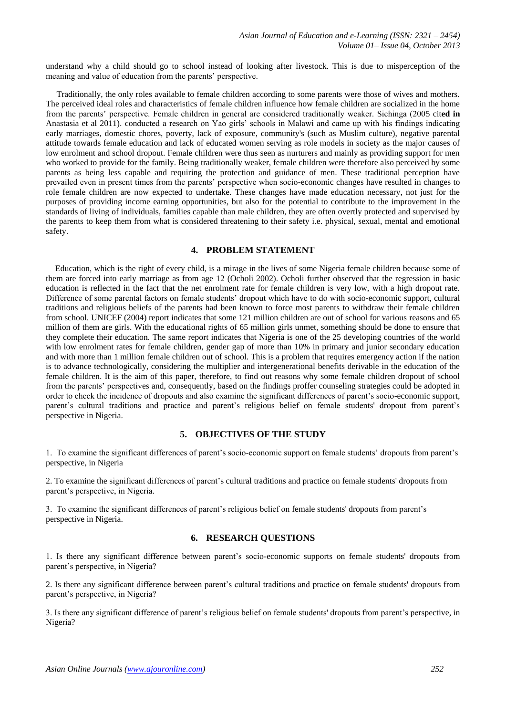understand why a child should go to school instead of looking after livestock. This is due to misperception of the meaning and value of education from the parents' perspective.

 Traditionally, the only roles available to female children according to some parents were those of wives and mothers. The perceived ideal roles and characteristics of female children influence how female children are socialized in the home from the parents' perspective. Female children in general are considered traditionally weaker. Sichinga (2005 cit**ed in** Anastasia et al 2011). conducted a research on Yao girls' schools in Malawi and came up with his findings indicating early marriages, domestic chores, poverty, lack of exposure, community's (such as Muslim culture), negative parental attitude towards female education and lack of educated women serving as role models in society as the major causes of low enrolment and school dropout. Female children were thus seen as nurturers and mainly as providing support for men who worked to provide for the family. Being traditionally weaker, female children were therefore also perceived by some parents as being less capable and requiring the protection and guidance of men. These traditional perception have prevailed even in present times from the parents' perspective when socio-economic changes have resulted in changes to role female children are now expected to undertake. These changes have made education necessary, not just for the purposes of providing income earning opportunities, but also for the potential to contribute to the improvement in the standards of living of individuals, families capable than male children, they are often overtly protected and supervised by the parents to keep them from what is considered threatening to their safety i.e. physical, sexual, mental and emotional safety.

#### **4. PROBLEM STATEMENT**

 Education, which is the right of every child, is a mirage in the lives of some Nigeria female children because some of them are forced into early marriage as from age 12 (Ocholi 2002). Ocholi further observed that the regression in basic education is reflected in the fact that the net enrolment rate for female children is very low, with a high dropout rate. Difference of some parental factors on female students' dropout which have to do with socio-economic support, cultural traditions and religious beliefs of the parents had been known to force most parents to withdraw their female children from school. UNICEF (2004) report indicates that some 121 million children are out of school for various reasons and 65 million of them are girls. With the educational rights of 65 million girls unmet, something should be done to ensure that they complete their education. The same report indicates that Nigeria is one of the 25 developing countries of the world with low enrolment rates for female children, gender gap of more than 10% in primary and junior secondary education and with more than 1 million female children out of school. This is a problem that requires emergency action if the nation is to advance technologically, considering the multiplier and intergenerational benefits derivable in the education of the female children. It is the aim of this paper, therefore, to find out reasons why some female children dropout of school from the parents' perspectives and, consequently, based on the findings proffer counseling strategies could be adopted in order to check the incidence of dropouts and also examine the significant differences of parent's socio-economic support, parent's cultural traditions and practice and parent's religious belief on female students' dropout from parent's perspective in Nigeria.

#### **5. OBJECTIVES OF THE STUDY**

1. To examine the significant differences of parent's socio-economic support on female students' dropouts from parent's perspective, in Nigeria

2. To examine the significant differences of parent's cultural traditions and practice on female students' dropouts from parent's perspective, in Nigeria.

3. To examine the significant differences of parent's religious belief on female students' dropouts from parent's perspective in Nigeria.

# **6. RESEARCH QUESTIONS**

1. Is there any significant difference between parent's socio-economic supports on female students' dropouts from parent's perspective, in Nigeria?

2. Is there any significant difference between parent's cultural traditions and practice on female students' dropouts from parent's perspective, in Nigeria?

3. Is there any significant difference of parent's religious belief on female students' dropouts from parent's perspective, in Nigeria?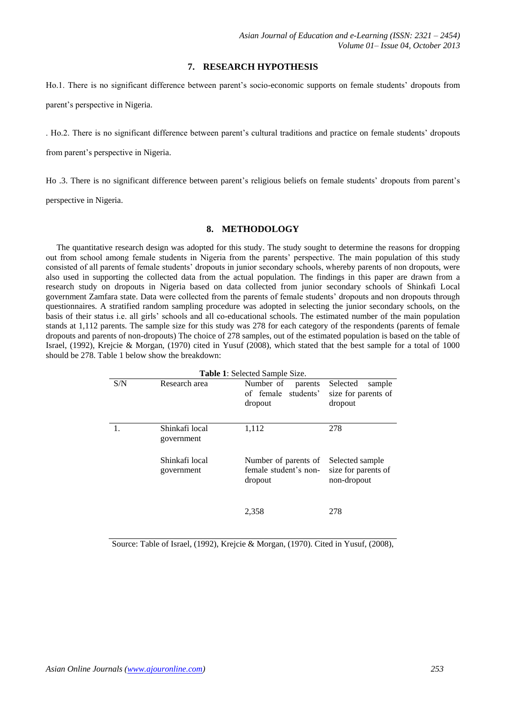#### **7. RESEARCH HYPOTHESIS**

Ho.1. There is no significant difference between parent's socio-economic supports on female students' dropouts from parent's perspective in Nigeria.

. Ho.2. There is no significant difference between parent's cultural traditions and practice on female students' dropouts

from parent's perspective in Nigeria.

Ho .3. There is no significant difference between parent's religious beliefs on female students' dropouts from parent's

perspective in Nigeria.

#### **8. METHODOLOGY**

 The quantitative research design was adopted for this study. The study sought to determine the reasons for dropping out from school among female students in Nigeria from the parents' perspective. The main population of this study consisted of all parents of female students' dropouts in junior secondary schools, whereby parents of non dropouts, were also used in supporting the collected data from the actual population. The findings in this paper are drawn from a research study on dropouts in Nigeria based on data collected from junior secondary schools of Shinkafi Local government Zamfara state. Data were collected from the parents of female students' dropouts and non dropouts through questionnaires. A stratified random sampling procedure was adopted in selecting the junior secondary schools, on the basis of their status i.e. all girls' schools and all co-educational schools. The estimated number of the main population stands at 1,112 parents. The sample size for this study was 278 for each category of the respondents (parents of female dropouts and parents of non-dropouts) The choice of 278 samples, out of the estimated population is based on the table of Israel, (1992), Krejcie & Morgan, (1970) cited in Yusuf (2008), which stated that the best sample for a total of 1000 should be 278. Table 1 below show the breakdown:

| <b>Table 1:</b> Selected Sample Size. |                              |                                                          |                                                       |  |  |  |  |  |
|---------------------------------------|------------------------------|----------------------------------------------------------|-------------------------------------------------------|--|--|--|--|--|
| S/N                                   | Research area                | Number of<br>parents<br>of female students'<br>dropout   | Selected<br>sample<br>size for parents of<br>dropout  |  |  |  |  |  |
|                                       | Shinkafi local<br>government | 1,112                                                    | 278                                                   |  |  |  |  |  |
|                                       | Shinkafi local<br>government | Number of parents of<br>female student's non-<br>dropout | Selected sample<br>size for parents of<br>non-dropout |  |  |  |  |  |
|                                       |                              | 2,358                                                    | 278                                                   |  |  |  |  |  |

Source: Table of Israel, (1992), Krejcie & Morgan, (1970). Cited in Yusuf, (2008),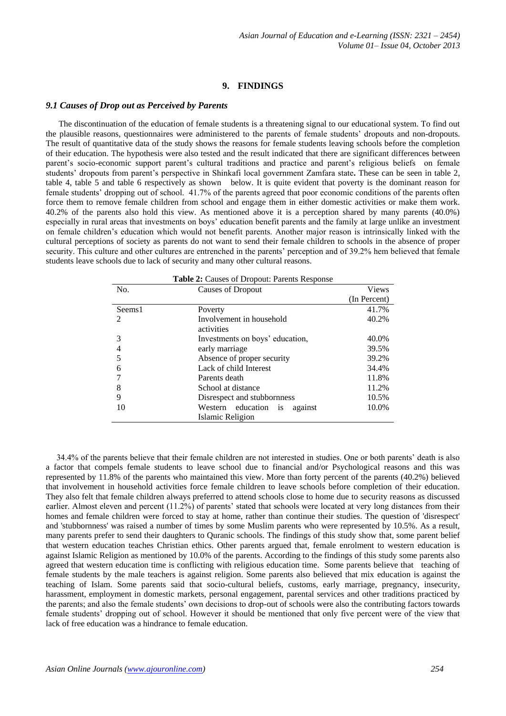#### **9. FINDINGS**

#### *9.1 Causes of Drop out as Perceived by Parents*

 The discontinuation of the education of female students is a threatening signal to our educational system. To find out the plausible reasons, questionnaires were administered to the parents of female students' dropouts and non-dropouts. The result of quantitative data of the study shows the reasons for female students leaving schools before the completion of their education. The hypothesis were also tested and the result indicated that there are significant differences between parent's socio-economic support parent's cultural traditions and practice and parent's religious beliefs on female students' dropouts from parent's perspective in Shinkafi local government Zamfara state**.** These can be seen in table 2, table 4, table 5 and table 6 respectively as shown below. It is quite evident that poverty is the dominant reason for female students' dropping out of school. 41.7% of the parents agreed that poor economic conditions of the parents often force them to remove female children from school and engage them in either domestic activities or make them work. 40.2% of the parents also hold this view. As mentioned above it is a perception shared by many parents (40.0%) especially in rural areas that investments on boys' education benefit parents and the family at large unlike an investment on female children's education which would not benefit parents. Another major reason is intrinsically linked with the cultural perceptions of society as parents do not want to send their female children to schools in the absence of proper security. This culture and other cultures are entrenched in the parents' perception and of 39.2% hem believed that female students leave schools due to lack of security and many other cultural reasons.

| Table 2: Causes of Dropout: Parents Response |                                 |              |  |  |  |  |
|----------------------------------------------|---------------------------------|--------------|--|--|--|--|
| No.                                          | <b>Causes of Dropout</b>        | <b>Views</b> |  |  |  |  |
|                                              |                                 | (In Percent) |  |  |  |  |
| Seems1                                       | Poverty                         | 41.7%        |  |  |  |  |
| 2                                            | Involvement in household        | 40.2%        |  |  |  |  |
|                                              | activities                      |              |  |  |  |  |
| 3                                            | Investments on boys' education, | 40.0%        |  |  |  |  |
| 4                                            | early marriage                  | 39.5%        |  |  |  |  |
| 5                                            | Absence of proper security      | 39.2%        |  |  |  |  |
| 6                                            | Lack of child Interest          | 34.4%        |  |  |  |  |
|                                              | Parents death                   | 11.8%        |  |  |  |  |
| 8                                            | School at distance              | 11.2%        |  |  |  |  |
| 9                                            | Disrespect and stubbornness     | 10.5%        |  |  |  |  |
| 10                                           | Western education is<br>against | 10.0%        |  |  |  |  |
|                                              | Islamic Religion                |              |  |  |  |  |

 34.4% of the parents believe that their female children are not interested in studies. One or both parents' death is also a factor that compels female students to leave school due to financial and/or Psychological reasons and this was represented by 11.8% of the parents who maintained this view. More than forty percent of the parents (40.2%) believed that involvement in household activities force female children to leave schools before completion of their education. They also felt that female children always preferred to attend schools close to home due to security reasons as discussed earlier. Almost eleven and percent (11.2%) of parents' stated that schools were located at very long distances from their homes and female children were forced to stay at home, rather than continue their studies. The question of 'disrespect' and 'stubbornness' was raised a number of times by some Muslim parents who were represented by 10.5%. As a result, many parents prefer to send their daughters to Quranic schools. The findings of this study show that, some parent belief that western education teaches Christian ethics. Other parents argued that, female enrolment to western education is against Islamic Religion as mentioned by 10.0% of the parents. According to the findings of this study some parents also agreed that western education time is conflicting with religious education time. Some parents believe that teaching of female students by the male teachers is against religion. Some parents also believed that mix education is against the teaching of Islam. Some parents said that socio-cultural beliefs, customs, early marriage, pregnancy, insecurity, harassment, employment in domestic markets, personal engagement, parental services and other traditions practiced by the parents; and also the female students' own decisions to drop-out of schools were also the contributing factors towards female students' dropping out of school. However it should be mentioned that only five percent were of the view that lack of free education was a hindrance to female education.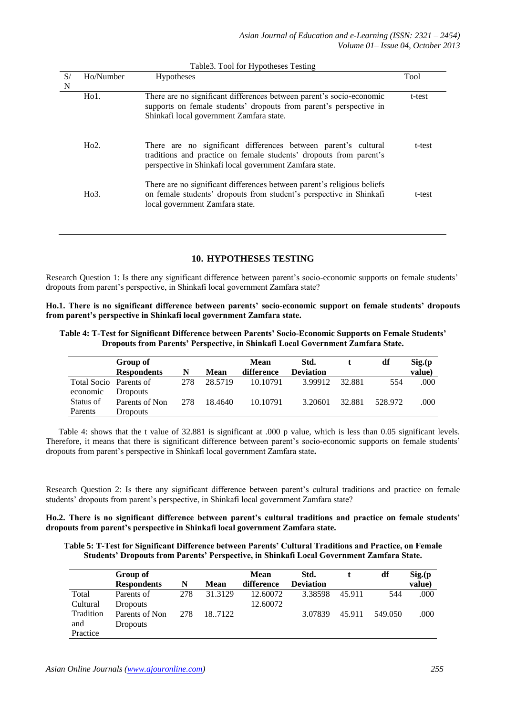| S/<br>N | Ho/Number        | <b>Hypotheses</b>                                                                                                                                                                               | Tool   |
|---------|------------------|-------------------------------------------------------------------------------------------------------------------------------------------------------------------------------------------------|--------|
|         | $H01$ .          | There are no significant differences between parent's socio-economic<br>supports on female students' dropouts from parent's perspective in<br>Shinkafi local government Zamfara state.          | t-test |
|         | Ho2.             | There are no significant differences between parent's cultural<br>traditions and practice on female students' dropouts from parent's<br>perspective in Shinkafi local government Zamfara state. | t-test |
|         | H <sub>0.3</sub> | There are no significant differences between parent's religious beliefs<br>on female students' dropouts from student's perspective in Shinkafi<br>local government Zamfara state.               | t-test |
|         |                  |                                                                                                                                                                                                 |        |

Table3. Tool for Hypotheses Testing

## **10. HYPOTHESES TESTING**

Research Question 1: Is there any significant difference between parent's socio-economic supports on female students' dropouts from parent's perspective, in Shinkafi local government Zamfara state?

**Ho.1. There is no significant difference between parents' socio-economic support on female students' dropouts from parent's perspective in Shinkafi local government Zamfara state.**

**Table 4: T-Test for Significant Difference between Parents' Socio-Economic Supports on Female Students' Dropouts from Parents' Perspective, in Shinkafi Local Government Zamfara State.**

|                        | Group of<br><b>Respondents</b> | N   | <b>Mean</b> | Mean<br>difference | Std.<br><b>Deviation</b> |        | df      | Sig(p)<br>value) |
|------------------------|--------------------------------|-----|-------------|--------------------|--------------------------|--------|---------|------------------|
| Total Socio Parents of |                                | 278 | 28.5719     | 10.10791           | 3.99912                  | 32.881 | 554     | .000             |
| economic               | Dropouts                       |     |             |                    |                          |        |         |                  |
| Status of              | Parents of Non                 | 278 | 18.4640     | 10.10791           | 3.20601                  | 32.881 | 528.972 | .000             |
| Parents                | <b>Dropouts</b>                |     |             |                    |                          |        |         |                  |

 Table 4: shows that the t value of 32.881 is significant at .000 p value, which is less than 0.05 significant levels. Therefore, it means that there is significant difference between parent's socio-economic supports on female students' dropouts from parent's perspective in Shinkafi local government Zamfara state**.**

Research Question 2: Is there any significant difference between parent's cultural traditions and practice on female students' dropouts from parent's perspective, in Shinkafi local government Zamfara state?

**Ho.2. There is no significant difference between parent's cultural traditions and practice on female students' dropouts from parent's perspective in Shinkafi local government Zamfara state.**

**Table 5: T-Test for Significant Difference between Parents' Cultural Traditions and Practice, on Female Students' Dropouts from Parents' Perspective, in Shinkafi Local Government Zamfara State.**

|           | Group of           |     |             | Mean       | Std.             |        | df      | Sig(p) |
|-----------|--------------------|-----|-------------|------------|------------------|--------|---------|--------|
|           | <b>Respondents</b> | N   | <b>Mean</b> | difference | <b>Deviation</b> |        |         | value) |
| Total     | Parents of         | 278 | 31.3129     | 12.60072   | 3.38598          | 45.911 | 544     | .000   |
| Cultural  | <b>Dropouts</b>    |     |             | 12.60072   |                  |        |         |        |
| Tradition | Parents of Non     | 278 | 18.7122     |            | 3.07839          | 45.911 | 549.050 | .000   |
| and       | <b>Dropouts</b>    |     |             |            |                  |        |         |        |
| Practice  |                    |     |             |            |                  |        |         |        |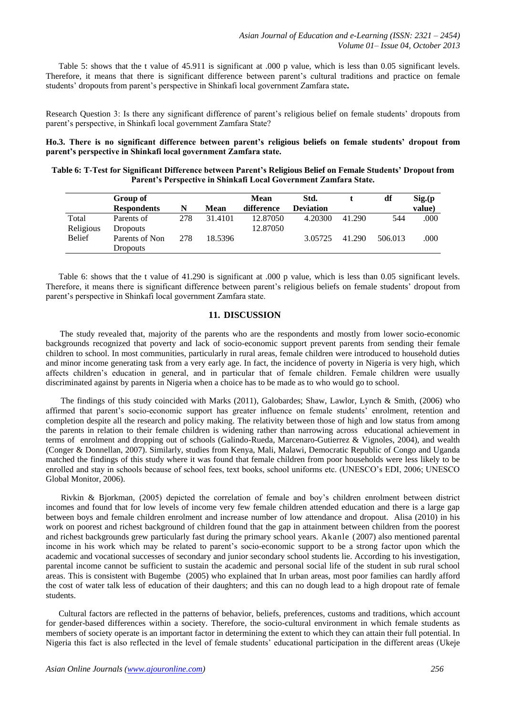Table 5: shows that the t value of 45.911 is significant at .000 p value, which is less than 0.05 significant levels. Therefore, it means that there is significant difference between parent's cultural traditions and practice on female students' dropouts from parent's perspective in Shinkafi local government Zamfara state**.**

Research Question 3: Is there any significant difference of parent's religious belief on female students' dropouts from parent's perspective, in Shinkafi local government Zamfara State?

**Ho.3. There is no significant difference between parent's religious beliefs on female students' dropout from parent's perspective in Shinkafi local government Zamfara state.** 

| Table 6: T-Test for Significant Difference between Parent's Religious Belief on Female Students' Dropout from |  |
|---------------------------------------------------------------------------------------------------------------|--|
| Parent's Perspective in Shinkafi Local Government Zamfara State.                                              |  |

|               | Group of           |     |             | Mean       | Std.             |        | df      | Sig(p) |
|---------------|--------------------|-----|-------------|------------|------------------|--------|---------|--------|
|               | <b>Respondents</b> | N   | <b>Mean</b> | difference | <b>Deviation</b> |        |         | value) |
| Total         | Parents of         | 278 | 31.4101     | 12.87050   | 4.20300          | 41.290 | 544     | .000   |
| Religious     | <b>Dropouts</b>    |     |             | 12.87050   |                  |        |         |        |
| <b>Belief</b> | Parents of Non     | 278 | 18.5396     |            | 3.05725          | 41.290 | 506.013 | .000   |
|               | <b>Dropouts</b>    |     |             |            |                  |        |         |        |

Table 6: shows that the t value of 41.290 is significant at .000 p value, which is less than 0.05 significant levels. Therefore, it means there is significant difference between parent's religious beliefs on female students' dropout from parent's perspective in Shinkafi local government Zamfara state.

#### **11. DISCUSSION**

 The study revealed that, majority of the parents who are the respondents and mostly from lower socio-economic backgrounds recognized that poverty and lack of socio-economic support prevent parents from sending their female children to school. In most communities, particularly in rural areas, female children were introduced to household duties and minor income generating task from a very early age. In fact, the incidence of poverty in Nigeria is very high, which affects children's education in general, and in particular that of female children. Female children were usually discriminated against by parents in Nigeria when a choice has to be made as to who would go to school.

 The findings of this study coincided with Marks (2011), Galobardes; Shaw, Lawlor, Lynch & Smith, (2006) who affirmed that parent's socio-economic support has greater influence on female students' enrolment, retention and completion despite all the research and policy making. The relativity between those of high and low status from among the parents in relation to their female children is widening rather than narrowing across educational achievement in terms of enrolment and dropping out of schools (Galindo-Rueda, Marcenaro-Gutierrez & Vignoles, 2004), and wealth (Conger & Donnellan, 2007). Similarly, studies from Kenya, Mali, Malawi, Democratic Republic of Congo and Uganda matched the findings of this study where it was found that female children from poor households were less likely to be enrolled and stay in schools because of school fees, text books, school uniforms etc. (UNESCO's EDI, 2006; UNESCO Global Monitor, 2006).

 Rivkin & Bjorkman, (2005) depicted the correlation of female and boy's children enrolment between district incomes and found that for low levels of income very few female children attended education and there is a large gap between boys and female children enrolment and increase number of low attendance and dropout. Alisa (2010) in his work on poorest and richest background of children found that the gap in attainment between children from the poorest and richest backgrounds grew particularly fast during the primary school years. Akanle (2007) also mentioned parental income in his work which may be related to parent's socio-economic support to be a strong factor upon which the academic and vocational successes of secondary and junior secondary school students lie. According to his investigation, parental income cannot be sufficient to sustain the academic and personal social life of the student in sub rural school areas. This is consistent with Bugembe (2005) who explained that In urban areas, most poor families can hardly afford the cost of water talk less of education of their daughters; and this can no dough lead to a high dropout rate of female students.

 Cultural factors are reflected in the patterns of behavior, beliefs, preferences, customs and traditions, which account for gender-based differences within a society. Therefore, the socio-cultural environment in which female students as members of society operate is an important factor in determining the extent to which they can attain their full potential. In Nigeria this fact is also reflected in the level of female students' educational participation in the different areas (Ukeje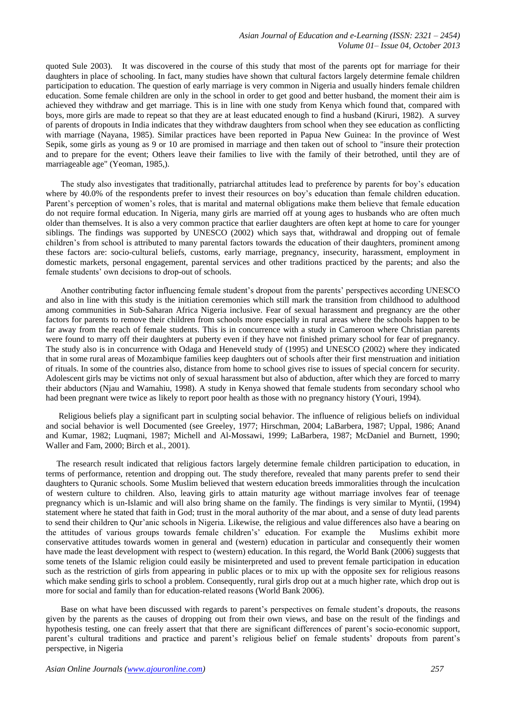quoted Sule 2003). It was discovered in the course of this study that most of the parents opt for marriage for their daughters in place of schooling. In fact, many studies have shown that cultural factors largely determine female children participation to education. The question of early marriage is very common in Nigeria and usually hinders female children education. Some female children are only in the school in order to get good and better husband, the moment their aim is achieved they withdraw and get marriage. This is in line with one study from Kenya which found that, compared with boys, more girls are made to repeat so that they are at least educated enough to find a husband (Kiruri, 1982). A survey of parents of dropouts in India indicates that they withdraw daughters from school when they see education as conflicting with marriage (Nayana, 1985). Similar practices have been reported in Papua New Guinea: In the province of West Sepik, some girls as young as 9 or 10 are promised in marriage and then taken out of school to "insure their protection and to prepare for the event; Others leave their families to live with the family of their betrothed, until they are of marriageable age" (Yeoman, 1985,).

 The study also investigates that traditionally, patriarchal attitudes lead to preference by parents for boy's education where by 40.0% of the respondents prefer to invest their resources on boy's education than female children education. Parent's perception of women's roles, that is marital and maternal obligations make them believe that female education do not require formal education. In Nigeria, many girls are married off at young ages to husbands who are often much older than themselves. It is also a very common practice that earlier daughters are often kept at home to care for younger siblings. The findings was supported by UNESCO (2002) which says that, withdrawal and dropping out of female children's from school is attributed to many parental factors towards the education of their daughters, prominent among these factors are: socio-cultural beliefs, customs, early marriage, pregnancy, insecurity, harassment, employment in domestic markets, personal engagement, parental services and other traditions practiced by the parents; and also the female students' own decisions to drop-out of schools.

 Another contributing factor influencing female student's dropout from the parents' perspectives according UNESCO and also in line with this study is the initiation ceremonies which still mark the transition from childhood to adulthood among communities in Sub-Saharan Africa Nigeria inclusive. Fear of sexual harassment and pregnancy are the other factors for parents to remove their children from schools more especially in rural areas where the schools happen to be far away from the reach of female students. This is in concurrence with a study in Cameroon where Christian parents were found to marry off their daughters at puberty even if they have not finished primary school for fear of pregnancy. The study also is in concurrence with Odaga and Heneveld study of (1995) and UNESCO (2002) where they indicated that in some rural areas of Mozambique families keep daughters out of schools after their first menstruation and initiation of rituals. In some of the countries also, distance from home to school gives rise to issues of special concern for security. Adolescent girls may be victims not only of sexual harassment but also of abduction, after which they are forced to marry their abductors (Njau and Wamahiu, 1998). A study in Kenya showed that female students from secondary school who had been pregnant were twice as likely to report poor health as those with no pregnancy history (Youri, 1994).

 Religious beliefs play a significant part in sculpting social behavior. The influence of religious beliefs on individual and social behavior is well Documented (see Greeley, 1977; Hirschman, 2004; LaBarbera, 1987; Uppal, 1986; Anand and Kumar, 1982; Luqmani, 1987; Michell and Al-Mossawi, 1999; LaBarbera, 1987; McDaniel and Burnett, 1990; Waller and Fam, 2000; Birch et al., 2001).

 The research result indicated that religious factors largely determine female children participation to education, in terms of performance, retention and dropping out. The study therefore, revealed that many parents prefer to send their daughters to Quranic schools. Some Muslim believed that western education breeds immoralities through the inculcation of western culture to children. Also, leaving girls to attain maturity age without marriage involves fear of teenage pregnancy which is un-Islamic and will also bring shame on the family. The findings is very similar to Myntii, (1994) statement where he stated that faith in God; trust in the moral authority of the mar about, and a sense of duty lead parents to send their children to Qur'anic schools in Nigeria. Likewise, the religious and value differences also have a bearing on the attitudes of various groups towards female children's' education. For example the Muslims exhibit more conservative attitudes towards women in general and (western) education in particular and consequently their women have made the least development with respect to (western) education. In this regard, the World Bank (2006) suggests that some tenets of the Islamic religion could easily be misinterpreted and used to prevent female participation in education such as the restriction of girls from appearing in public places or to mix up with the opposite sex for religious reasons which make sending girls to school a problem. Consequently, rural girls drop out at a much higher rate, which drop out is more for social and family than for education-related reasons (World Bank 2006).

 Base on what have been discussed with regards to parent's perspectives on female student's dropouts, the reasons given by the parents as the causes of dropping out from their own views, and base on the result of the findings and hypothesis testing, one can freely assert that that there are significant differences of parent's socio-economic support, parent's cultural traditions and practice and parent's religious belief on female students' dropouts from parent's perspective, in Nigeria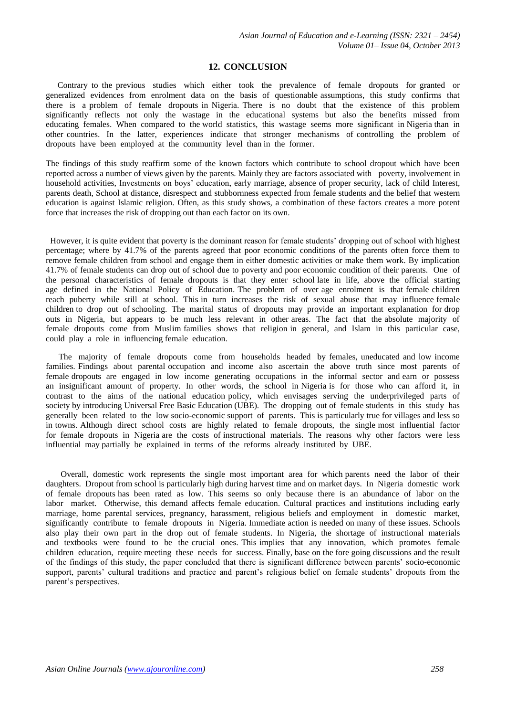#### **12. CONCLUSION**

 Contrary to the previous studies which either took the prevalence of female dropouts for granted or generalized evidences from enrolment data on the basis of questionable assumptions, this study confirms that there is a problem of female dropouts in Nigeria. There is no doubt that the existence of this problem significantly reflects not only the wastage in the educational systems but also the benefits missed from educating females. When compared to the world statistics, this wastage seems more significant in Nigeria than in other countries. In the latter, experiences indicate that stronger mechanisms of controlling the problem of dropouts have been employed at the community level than in the former.

The findings of this study reaffirm some of the known factors which contribute to school dropout which have been reported across a number of views given by the parents. Mainly they are factors associated with poverty, involvement in household activities, Investments on boys' education, early marriage, absence of proper security, lack of child Interest, parents death, School at distance, disrespect and stubbornness expected from female students and the belief that western education is against Islamic religion. Often, as this study shows, a combination of these factors creates a more potent force that increases the risk of dropping out than each factor on its own.

 However, it is quite evident that poverty is the dominant reason for female students' dropping out of school with highest percentage; where by 41.7% of the parents agreed that poor economic conditions of the parents often force them to remove female children from school and engage them in either domestic activities or make them work. By implication 41.7% of female students can drop out of school due to poverty and poor economic condition of their parents. One of the personal characteristics of female dropouts is that they enter school late in life, above the official starting age defined in the National Policy of Education. The problem of over age enrolment is that female children reach puberty while still at school. This in turn increases the risk of sexual abuse that may influence female children to drop out of schooling. The marital status of dropouts may provide an important explanation for drop outs in Nigeria, but appears to be much less relevant in other areas. The fact that the absolute majority of female dropouts come from Muslim families shows that religion in general, and Islam in this particular case, could play a role in influencing female education.

 The majority of female dropouts come from households headed by females, uneducated and low income families. Findings about parental occupation and income also ascertain the above truth since most parents of female dropouts are engaged in low income generating occupations in the informal sector and earn or possess an insignificant amount of property. In other words, the school in Nigeria is for those who can afford it, in contrast to the aims of the national education policy, which envisages serving the underprivileged parts of society by introducing Universal Free Basic Education (UBE). The dropping out of female students in this study has generally been related to the low socio-economic support of parents. This is particularly true for villages and less so in towns. Although direct school costs are highly related to female dropouts, the single most influential factor for female dropouts in Nigeria are the costs of instructional materials. The reasons why other factors were less influential may partially be explained in terms of the reforms already instituted by UBE.

 Overall, domestic work represents the single most important area for which parents need the labor of their daughters. Dropout from school is particularly high during harvest time and on market days. In Nigeria domestic work of female dropouts has been rated as low. This seems so only because there is an abundance of labor on the labor market. Otherwise, this demand affects female education. Cultural practices and institutions including early marriage, home parental services, pregnancy, harassment, religious beliefs and employment in domestic market, significantly contribute to female dropouts in Nigeria. Immediate action is needed on many of these issues. Schools also play their own part in the drop out of female students. In Nigeria, the shortage of instructional materials and textbooks were found to be the crucial ones. This implies that any innovation, which promotes female children education, require meeting these needs for success. Finally, base on the fore going discussions and the result of the findings of this study, the paper concluded that there is significant difference between parents' socio-economic support, parents' cultural traditions and practice and parent's religious belief on female students' dropouts from the parent's perspectives.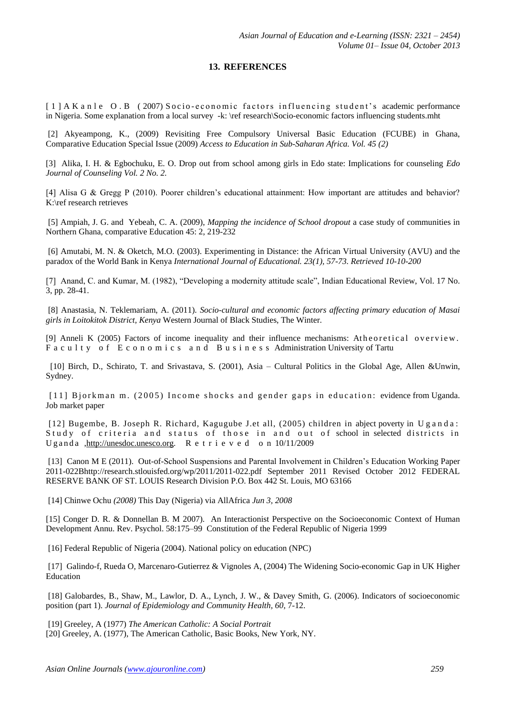### **13. REFERENCES**

[1] A [K a n l e O . B \(](http://www.thefreelibrary.com/Akanle+O.Basil/Contributed-a212477)2007) Socio-economic factors influencing student's academic performance in Nigeria. Some explanation from a local survey -k: \ref research\Socio-economic factors influencing students.mht

[2] Akyeampong, K., (2009) Revisiting Free Compulsory Universal Basic Education (FCUBE) in Ghana, Comparative Education Special Issue (2009) *Access to Education in Sub-Saharan Africa. Vol. 45 (2)*

[3] Alika, I. H. & Egbochuku, E. O. Drop out from school among girls in Edo state: Implications for counseling *Edo Journal of Counseling Vol. 2 No. 2.* 

[4] Alisa G & Gregg P (2010). Poorer children's educational attainment: How important are attitudes and behavior? K:\ref research retrieves

[5] Ampiah, J. G. and Yebeah, C. A. (2009), *Mapping the incidence of School dropout* a case study of communities in Northern Ghana, comparative Education 45: 2, 219-232

[6] Amutabi, M. N. & Oketch, M.O. (2003). Experimenting in Distance: the African Virtual University (AVU) and the paradox of the World Bank in Kenya *International Journal of Educational. 23(1), 57-73. Retrieved 10-10-200*

[7] Anand, C. and Kumar, M. (1982), "Developing a modernity attitude scale", Indian Educational Review, Vol. 17 No. 3, pp. 28-41.

[8] Anastasia, N. Teklemariam, A. (2011). *Socio-cultural and economic factors affecting primary education of Masai girls in Loitokitok District, Kenya* Western Journal of Black Studies, The Winter.

[9] Anneli K  $(2005)$  Factors of income inequality and their influence mechanisms: Atheoretical overview. Faculty of Economics and Business Administration University of Tartu

 [10] Birch, D., Schirato, T. and Srivastava, S. (2001), Asia – Cultural Politics in the Global Age, Allen &Unwin, Sydney.

[11] Bjorkman m. (2005) Income shocks and gender gaps in education: evidence from Uganda. Job market paper

[12] Bugembe, B. Joseph R. Richard, Kagugube J.et all, (2005) children in abject poverty in U g a n d a : Study of criteria and status of those in and out of school in selected districts in Uganda [,http://unesdoc.unesco.org.](http://unesdoc.unesco.org/) R e t r i e v e d o n 10/11/2009

[13] Canon M E (2011). Out-of-School Suspensions and Parental Involvement in Children's Education Working Paper 2011-022Bhttp://research.stlouisfed.org/wp/2011/2011-022.pdf September 2011 Revised October 2012 FEDERAL RESERVE BANK OF ST. LOUIS Research Division P.O. Box 442 St. Louis, MO 63166

[14] Chinwe Ochu *(2008)* [This Day \(Nigeria\) via AllAfrica](http://allafrica.com/stories/200806040693.html) *Jun 3, 2008*

[15] Conger D. R. & Donnellan B. M 2007). An Interactionist Perspective on the Socioeconomic Context of Human Development Annu. Rev. Psychol. 58:175–99 Constitution of the Federal Republic of Nigeria 1999

[16] Federal Republic of Nigeria (2004). National policy on education (NPC)

[17] Galindo-f, Rueda O, Marcenaro-Gutierrez & Vignoles A, (2004) The Widening Socio-economic Gap in UK Higher Education

[18] Galobardes, B., Shaw, M., Lawlor, D. A., Lynch, J. W., & Davey Smith, G. (2006). Indicators of socioeconomic position (part 1). *Journal of Epidemiology and Community Health, 60*, 7-12.

[19] Greeley, A (1977) *The American Catholic: A Social Portrait* [20] Greeley, A. (1977), The American Catholic, Basic Books, New York, NY.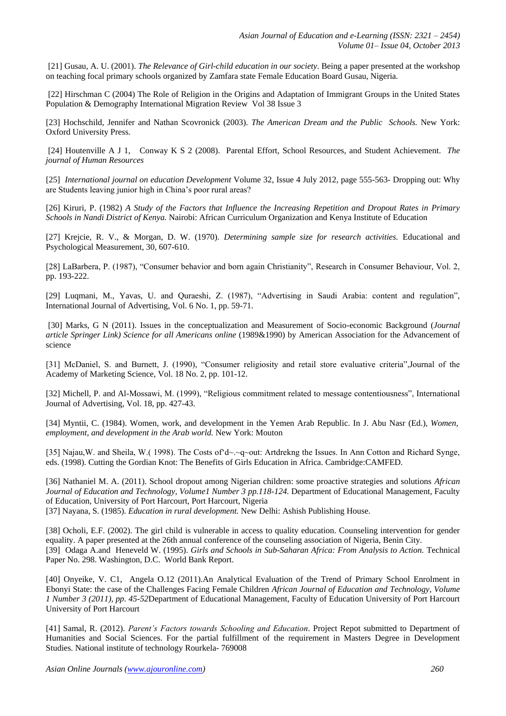[21] Gusau, A. U. (2001). *The Relevance of Girl-child education in our society*. Being a paper presented at the workshop on teaching focal primary schools organized by Zamfara state Female Education Board Gusau, Nigeria.

[22] Hirschman C (2004) The Role of Religion in the Origins and Adaptation of Immigrant Groups in the United States [Population & Demography](http://onlinelibrary.wiley.com/subject/code/SOG0/titles) [International Migration Review](http://onlinelibrary.wiley.com/journal/10.1111/(ISSN)1747-7379) [Vol 38 Issue 3](http://onlinelibrary.wiley.com/doi/10.1111/imre.2004.38.issue-3/issuetoc) 

[23] Hochschild, Jennifer and Nathan Scovronick (2003). *The American Dream and the Public Schools.* New York: Oxford University Press.

[\[24\] Houtenville](http://jhr.uwpress.org/search?author1=Andrew+J.+Houtenville&sortspec=date&submit=Submit) A J 1, [Conway](http://jhr.uwpress.org/search?author1=Karen+Smith+Conway&sortspec=date&submit=Submit) K S 2 (2008). Parental Effort, School Resources, and Student Achievement. *The journal of Human Resources*

[25] *International journal on education Development* Volume 32, Issue 4 July 2012, page 555-563- Dropping out: Why are Students leaving junior high in China's poor rural areas?

[26] Kiruri, P. (1982) *A Study of the Factors that Influence the Increasing Repetition and Dropout Rates in Primary Schools in Nandi District of Kenya.* Nairobi: African Curriculum Organization and Kenya Institute of Education

[27] Krejcie, R. V., & Morgan, D. W. (1970). *Determining sample size for research activities.* Educational and Psychological Measurement, 30, 607-610.

[28] LaBarbera, P. (1987), "Consumer behavior and born again Christianity", Research in Consumer Behaviour, Vol. 2, pp. 193-222.

[29] Luqmani, M., Yavas, U. and Quraeshi, Z. (1987), "Advertising in Saudi Arabia: content and regulation", International Journal of Advertising, Vol. 6 No. 1, pp. 59-71.

[30] Marks, G N (2011). Issues in the conceptualization and Measurement of Socio-economic Background (*Journal article Springer Link) Science for all Americans online* (1989&1990) by American Association for the Advancement of science

[31] McDaniel, S. and Burnett, J. (1990), "Consumer religiosity and retail store evaluative criteria",Journal of the Academy of Marketing Science, Vol. 18 No. 2, pp. 101-12.

[32] Michell, P. and Al-Mossawi, M. (1999), "Religious commitment related to message contentiousness", International Journal of Advertising, Vol. 18, pp. 427-43.

[34] Myntii, C. (1984). Women, work, and development in the Yemen Arab Republic. In J. Abu Nasr (Ed.), *Women, employment, and development in the Arab world.* New York: Mouton

[35] Najau,W. and Sheila, W.(1998). The Costs of d~~q~out: Artdrekng the Issues. In Ann Cotton and Richard Synge, eds. (1998). Cutting the Gordian Knot: The Benefits of Girls Education in Africa. Cambridge:CAMFED.

[36] Nathaniel M. A. (2011). School dropout among Nigerian children: some proactive strategies and solutions *African Journal of Education and Technology, Volume1 Number 3 pp.118-124.* Department of Educational Management, Faculty of Education, University of Port Harcourt, Port Harcourt, Nigeria [37] Nayana, S. (1985). *Education in rural development.* New Delhi: Ashish Publishing House.

[38] Ocholi, E.F. (2002). The girl child is vulnerable in access to quality education. Counseling intervention for gender equality. A paper presented at the 26th annual conference of the counseling association of Nigeria, Benin City. [39] Odaga A.and Heneveld W. (1995). *Girls and Schools in Sub-Saharan Africa: From Analysis to Action.* Technical Paper No. 298. Washington, D.C. World Bank Report.

[40] Onyeike, V. C1, Angela O.12 (2011).An Analytical Evaluation of the Trend of Primary School Enrolment in Ebonyi State: the case of the Challenges Facing Female Children *African Journal of Education and Technology, Volume 1 Number 3 (2011), pp. 45-52*Department of Educational Management, Faculty of Education University of Port Harcourt University of Port Harcourt

[41] Samal, R. (2012). *Parent's Factors towards Schooling and Education*. Project Repot submitted to Department of Humanities and Social Sciences. For the partial fulfillment of the requirement in Masters Degree in Development Studies. National institute of technology Rourkela- 769008